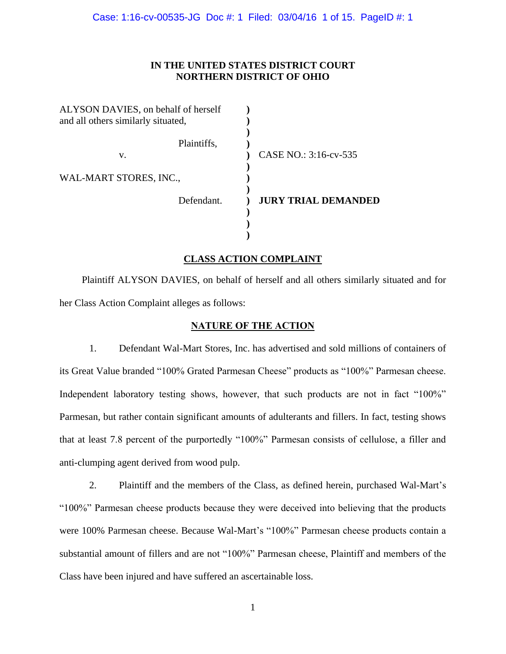# **IN THE UNITED STATES DISTRICT COURT NORTHERN DISTRICT OF OHIO**

| ALYSON DAVIES, on behalf of herself<br>and all others similarly situated, |                            |
|---------------------------------------------------------------------------|----------------------------|
| Plaintiffs,                                                               |                            |
| v.                                                                        | CASE NO.: 3:16-cv-535      |
|                                                                           |                            |
| WAL-MART STORES, INC.,                                                    |                            |
|                                                                           |                            |
| Defendant.                                                                | <b>JURY TRIAL DEMANDED</b> |
|                                                                           |                            |
|                                                                           |                            |
|                                                                           |                            |

# **CLASS ACTION COMPLAINT**

Plaintiff ALYSON DAVIES, on behalf of herself and all others similarly situated and for her Class Action Complaint alleges as follows:

## **NATURE OF THE ACTION**

1. Defendant Wal-Mart Stores, Inc. has advertised and sold millions of containers of its Great Value branded "100% Grated Parmesan Cheese" products as "100%" Parmesan cheese. Independent laboratory testing shows, however, that such products are not in fact "100%" Parmesan, but rather contain significant amounts of adulterants and fillers. In fact, testing shows that at least 7.8 percent of the purportedly "100%" Parmesan consists of cellulose, a filler and anti-clumping agent derived from wood pulp.

2. Plaintiff and the members of the Class, as defined herein, purchased Wal-Mart's "100%" Parmesan cheese products because they were deceived into believing that the products were 100% Parmesan cheese. Because Wal-Mart's "100%" Parmesan cheese products contain a substantial amount of fillers and are not "100%" Parmesan cheese, Plaintiff and members of the Class have been injured and have suffered an ascertainable loss.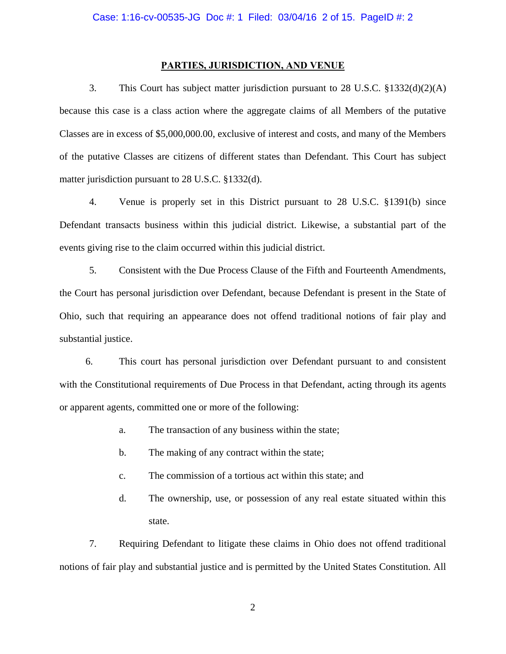### **PARTIES, JURISDICTION, AND VENUE**

3. This Court has subject matter jurisdiction pursuant to 28 U.S.C. §1332(d)(2)(A) because this case is a class action where the aggregate claims of all Members of the putative Classes are in excess of \$5,000,000.00, exclusive of interest and costs, and many of the Members of the putative Classes are citizens of different states than Defendant. This Court has subject matter jurisdiction pursuant to 28 U.S.C. §1332(d).

4. Venue is properly set in this District pursuant to 28 U.S.C. §1391(b) since Defendant transacts business within this judicial district. Likewise, a substantial part of the events giving rise to the claim occurred within this judicial district.

5. Consistent with the Due Process Clause of the Fifth and Fourteenth Amendments, the Court has personal jurisdiction over Defendant, because Defendant is present in the State of Ohio, such that requiring an appearance does not offend traditional notions of fair play and substantial justice.

6. This court has personal jurisdiction over Defendant pursuant to and consistent with the Constitutional requirements of Due Process in that Defendant, acting through its agents or apparent agents, committed one or more of the following:

- a. The transaction of any business within the state;
- b. The making of any contract within the state;
- c. The commission of a tortious act within this state; and
- d. The ownership, use, or possession of any real estate situated within this state.

7. Requiring Defendant to litigate these claims in Ohio does not offend traditional notions of fair play and substantial justice and is permitted by the United States Constitution. All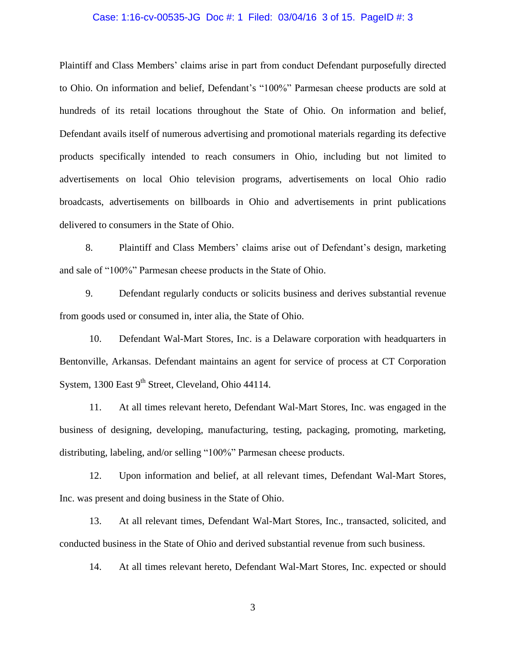### Case: 1:16-cv-00535-JG Doc #: 1 Filed: 03/04/16 3 of 15. PageID #: 3

Plaintiff and Class Members' claims arise in part from conduct Defendant purposefully directed to Ohio. On information and belief, Defendant's "100%" Parmesan cheese products are sold at hundreds of its retail locations throughout the State of Ohio. On information and belief, Defendant avails itself of numerous advertising and promotional materials regarding its defective products specifically intended to reach consumers in Ohio, including but not limited to advertisements on local Ohio television programs, advertisements on local Ohio radio broadcasts, advertisements on billboards in Ohio and advertisements in print publications delivered to consumers in the State of Ohio.

8. Plaintiff and Class Members' claims arise out of Defendant's design, marketing and sale of "100%" Parmesan cheese products in the State of Ohio.

9. Defendant regularly conducts or solicits business and derives substantial revenue from goods used or consumed in, inter alia, the State of Ohio.

10. Defendant Wal-Mart Stores, Inc. is a Delaware corporation with headquarters in Bentonville, Arkansas. Defendant maintains an agent for service of process at CT Corporation System, 1300 East 9<sup>th</sup> Street, Cleveland, Ohio 44114.

11. At all times relevant hereto, Defendant Wal-Mart Stores, Inc. was engaged in the business of designing, developing, manufacturing, testing, packaging, promoting, marketing, distributing, labeling, and/or selling "100%" Parmesan cheese products.

12. Upon information and belief, at all relevant times, Defendant Wal-Mart Stores, Inc. was present and doing business in the State of Ohio.

13. At all relevant times, Defendant Wal-Mart Stores, Inc., transacted, solicited, and conducted business in the State of Ohio and derived substantial revenue from such business.

14. At all times relevant hereto, Defendant Wal-Mart Stores, Inc. expected or should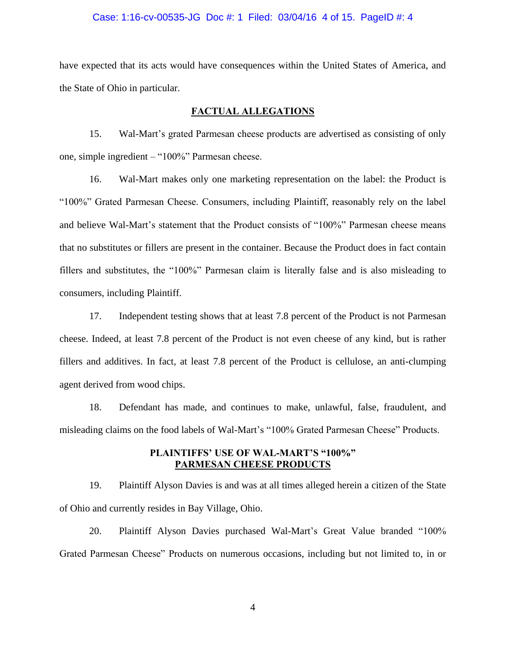#### Case: 1:16-cv-00535-JG Doc #: 1 Filed: 03/04/16 4 of 15. PageID #: 4

have expected that its acts would have consequences within the United States of America, and the State of Ohio in particular.

## **FACTUAL ALLEGATIONS**

15. Wal-Mart's grated Parmesan cheese products are advertised as consisting of only one, simple ingredient – "100%" Parmesan cheese.

16. Wal-Mart makes only one marketing representation on the label: the Product is "100%" Grated Parmesan Cheese. Consumers, including Plaintiff, reasonably rely on the label and believe Wal-Mart's statement that the Product consists of "100%" Parmesan cheese means that no substitutes or fillers are present in the container. Because the Product does in fact contain fillers and substitutes, the "100%" Parmesan claim is literally false and is also misleading to consumers, including Plaintiff.

17. Independent testing shows that at least 7.8 percent of the Product is not Parmesan cheese. Indeed, at least 7.8 percent of the Product is not even cheese of any kind, but is rather fillers and additives. In fact, at least 7.8 percent of the Product is cellulose, an anti-clumping agent derived from wood chips.

18. Defendant has made, and continues to make, unlawful, false, fraudulent, and misleading claims on the food labels of Wal-Mart's "100% Grated Parmesan Cheese" Products.

# **PLAINTIFFS' USE OF WAL-MART'S "100%" PARMESAN CHEESE PRODUCTS**

19. Plaintiff Alyson Davies is and was at all times alleged herein a citizen of the State of Ohio and currently resides in Bay Village, Ohio.

20. Plaintiff Alyson Davies purchased Wal-Mart's Great Value branded "100% Grated Parmesan Cheese" Products on numerous occasions, including but not limited to, in or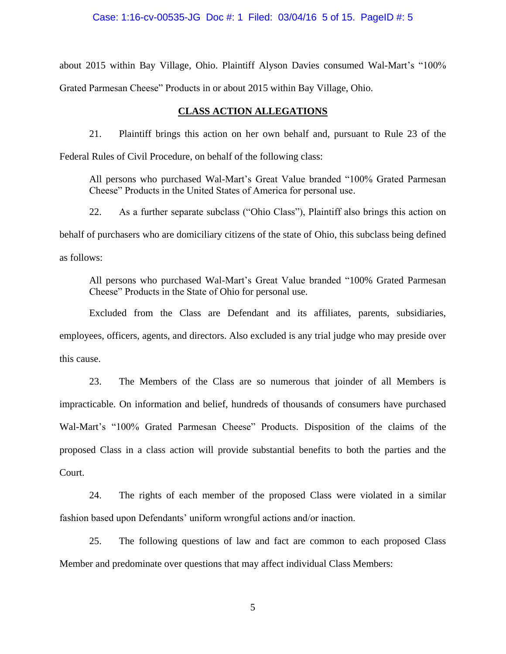Case: 1:16-cv-00535-JG Doc #: 1 Filed: 03/04/16 5 of 15. PageID #: 5

about 2015 within Bay Village, Ohio. Plaintiff Alyson Davies consumed Wal-Mart's "100% Grated Parmesan Cheese" Products in or about 2015 within Bay Village, Ohio.

# **CLASS ACTION ALLEGATIONS**

21. Plaintiff brings this action on her own behalf and, pursuant to Rule 23 of the Federal Rules of Civil Procedure, on behalf of the following class:

All persons who purchased Wal-Mart's Great Value branded "100% Grated Parmesan Cheese" Products in the United States of America for personal use.

22. As a further separate subclass ("Ohio Class"), Plaintiff also brings this action on behalf of purchasers who are domiciliary citizens of the state of Ohio, this subclass being defined as follows:

All persons who purchased Wal-Mart's Great Value branded "100% Grated Parmesan Cheese" Products in the State of Ohio for personal use.

Excluded from the Class are Defendant and its affiliates, parents, subsidiaries, employees, officers, agents, and directors. Also excluded is any trial judge who may preside over this cause.

23. The Members of the Class are so numerous that joinder of all Members is impracticable. On information and belief, hundreds of thousands of consumers have purchased Wal-Mart's "100% Grated Parmesan Cheese" Products. Disposition of the claims of the proposed Class in a class action will provide substantial benefits to both the parties and the Court.

24. The rights of each member of the proposed Class were violated in a similar fashion based upon Defendants' uniform wrongful actions and/or inaction.

25. The following questions of law and fact are common to each proposed Class Member and predominate over questions that may affect individual Class Members: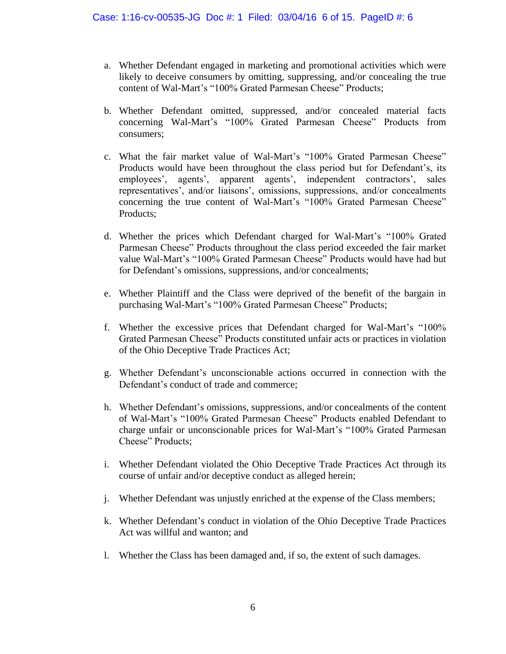- a. Whether Defendant engaged in marketing and promotional activities which were likely to deceive consumers by omitting, suppressing, and/or concealing the true content of Wal-Mart's "100% Grated Parmesan Cheese" Products;
- b. Whether Defendant omitted, suppressed, and/or concealed material facts concerning Wal-Mart's "100% Grated Parmesan Cheese" Products from consumers;
- c. What the fair market value of Wal-Mart's "100% Grated Parmesan Cheese" Products would have been throughout the class period but for Defendant's, its employees', agents', apparent agents', independent contractors', sales representatives', and/or liaisons', omissions, suppressions, and/or concealments concerning the true content of Wal-Mart's "100% Grated Parmesan Cheese" Products;
- d. Whether the prices which Defendant charged for Wal-Mart's "100% Grated Parmesan Cheese" Products throughout the class period exceeded the fair market value Wal-Mart's "100% Grated Parmesan Cheese" Products would have had but for Defendant's omissions, suppressions, and/or concealments;
- e. Whether Plaintiff and the Class were deprived of the benefit of the bargain in purchasing Wal-Mart's "100% Grated Parmesan Cheese" Products;
- f. Whether the excessive prices that Defendant charged for Wal-Mart's "100% Grated Parmesan Cheese" Products constituted unfair acts or practices in violation of the Ohio Deceptive Trade Practices Act;
- g. Whether Defendant's unconscionable actions occurred in connection with the Defendant's conduct of trade and commerce;
- h. Whether Defendant's omissions, suppressions, and/or concealments of the content of Wal-Mart's "100% Grated Parmesan Cheese" Products enabled Defendant to charge unfair or unconscionable prices for Wal-Mart's "100% Grated Parmesan Cheese" Products;
- i. Whether Defendant violated the Ohio Deceptive Trade Practices Act through its course of unfair and/or deceptive conduct as alleged herein;
- j. Whether Defendant was unjustly enriched at the expense of the Class members;
- k. Whether Defendant's conduct in violation of the Ohio Deceptive Trade Practices Act was willful and wanton; and
- l. Whether the Class has been damaged and, if so, the extent of such damages.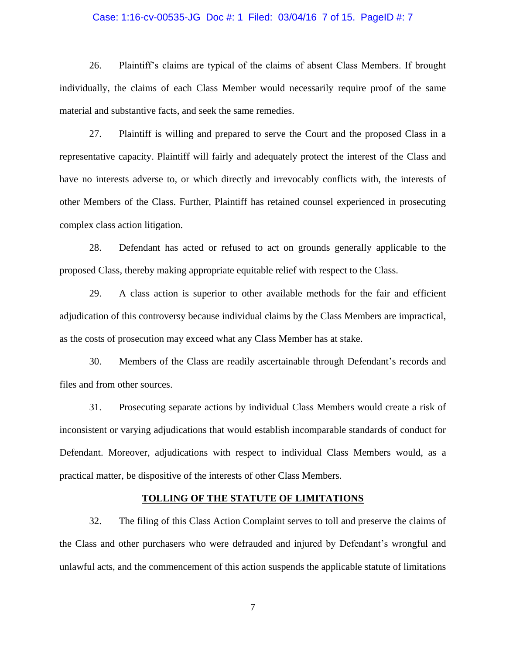#### Case: 1:16-cv-00535-JG Doc #: 1 Filed: 03/04/16 7 of 15. PageID #: 7

26. Plaintiff's claims are typical of the claims of absent Class Members. If brought individually, the claims of each Class Member would necessarily require proof of the same material and substantive facts, and seek the same remedies.

27. Plaintiff is willing and prepared to serve the Court and the proposed Class in a representative capacity. Plaintiff will fairly and adequately protect the interest of the Class and have no interests adverse to, or which directly and irrevocably conflicts with, the interests of other Members of the Class. Further, Plaintiff has retained counsel experienced in prosecuting complex class action litigation.

28. Defendant has acted or refused to act on grounds generally applicable to the proposed Class, thereby making appropriate equitable relief with respect to the Class.

29. A class action is superior to other available methods for the fair and efficient adjudication of this controversy because individual claims by the Class Members are impractical, as the costs of prosecution may exceed what any Class Member has at stake.

30. Members of the Class are readily ascertainable through Defendant's records and files and from other sources.

31. Prosecuting separate actions by individual Class Members would create a risk of inconsistent or varying adjudications that would establish incomparable standards of conduct for Defendant. Moreover, adjudications with respect to individual Class Members would, as a practical matter, be dispositive of the interests of other Class Members.

### **TOLLING OF THE STATUTE OF LIMITATIONS**

32. The filing of this Class Action Complaint serves to toll and preserve the claims of the Class and other purchasers who were defrauded and injured by Defendant's wrongful and unlawful acts, and the commencement of this action suspends the applicable statute of limitations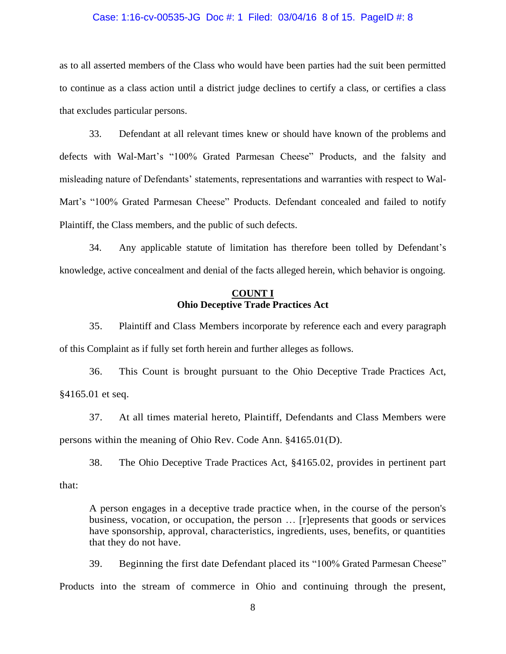#### Case: 1:16-cv-00535-JG Doc #: 1 Filed: 03/04/16 8 of 15. PageID #: 8

as to all asserted members of the Class who would have been parties had the suit been permitted to continue as a class action until a district judge declines to certify a class, or certifies a class that excludes particular persons.

33. Defendant at all relevant times knew or should have known of the problems and defects with Wal-Mart's "100% Grated Parmesan Cheese" Products, and the falsity and misleading nature of Defendants' statements, representations and warranties with respect to Wal-Mart's "100% Grated Parmesan Cheese" Products. Defendant concealed and failed to notify Plaintiff, the Class members, and the public of such defects.

34. Any applicable statute of limitation has therefore been tolled by Defendant's knowledge, active concealment and denial of the facts alleged herein, which behavior is ongoing.

# **COUNT I Ohio Deceptive Trade Practices Act**

35. Plaintiff and Class Members incorporate by reference each and every paragraph of this Complaint as if fully set forth herein and further alleges as follows.

36. This Count is brought pursuant to the Ohio Deceptive Trade Practices Act, §4165.01 et seq.

37. At all times material hereto, Plaintiff, Defendants and Class Members were persons within the meaning of Ohio Rev. Code Ann. §4165.01(D).

38. The Ohio Deceptive Trade Practices Act, §4165.02, provides in pertinent part that:

A person engages in a deceptive trade practice when, in the course of the person's business, vocation, or occupation, the person … [r]epresents that goods or services have sponsorship, approval, characteristics, ingredients, uses, benefits, or quantities that they do not have.

39. Beginning the first date Defendant placed its "100% Grated Parmesan Cheese" Products into the stream of commerce in Ohio and continuing through the present,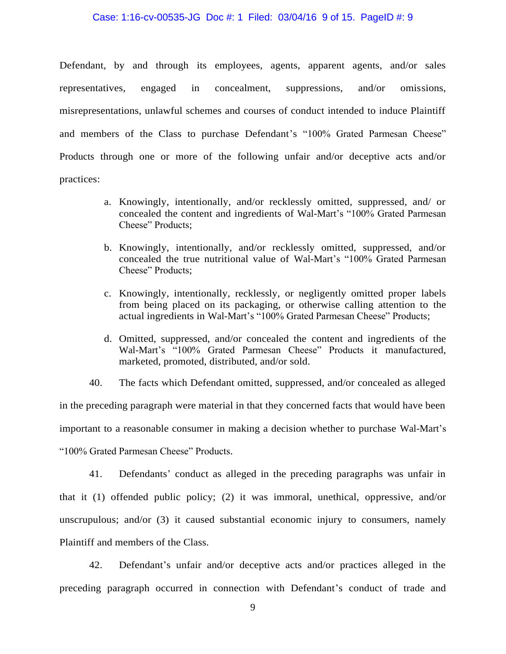#### Case: 1:16-cv-00535-JG Doc #: 1 Filed: 03/04/16 9 of 15. PageID #: 9

Defendant, by and through its employees, agents, apparent agents, and/or sales representatives, engaged in concealment, suppressions, and/or omissions, misrepresentations, unlawful schemes and courses of conduct intended to induce Plaintiff and members of the Class to purchase Defendant's "100% Grated Parmesan Cheese" Products through one or more of the following unfair and/or deceptive acts and/or practices:

- a. Knowingly, intentionally, and/or recklessly omitted, suppressed, and/ or concealed the content and ingredients of Wal-Mart's "100% Grated Parmesan Cheese" Products;
- b. Knowingly, intentionally, and/or recklessly omitted, suppressed, and/or concealed the true nutritional value of Wal-Mart's "100% Grated Parmesan Cheese" Products;
- c. Knowingly, intentionally, recklessly, or negligently omitted proper labels from being placed on its packaging, or otherwise calling attention to the actual ingredients in Wal-Mart's "100% Grated Parmesan Cheese" Products;
- d. Omitted, suppressed, and/or concealed the content and ingredients of the Wal-Mart's "100% Grated Parmesan Cheese" Products it manufactured, marketed, promoted, distributed, and/or sold.

40. The facts which Defendant omitted, suppressed, and/or concealed as alleged in the preceding paragraph were material in that they concerned facts that would have been important to a reasonable consumer in making a decision whether to purchase Wal-Mart's "100% Grated Parmesan Cheese" Products.

41. Defendants' conduct as alleged in the preceding paragraphs was unfair in that it (1) offended public policy; (2) it was immoral, unethical, oppressive, and/or unscrupulous; and/or (3) it caused substantial economic injury to consumers, namely Plaintiff and members of the Class.

42. Defendant's unfair and/or deceptive acts and/or practices alleged in the preceding paragraph occurred in connection with Defendant's conduct of trade and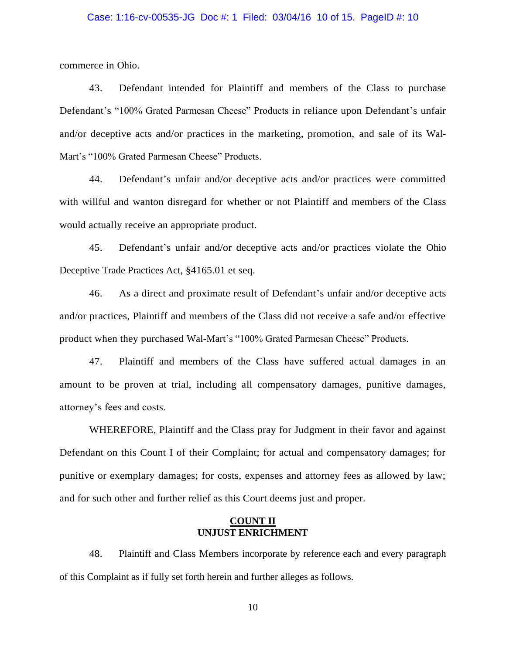### Case: 1:16-cv-00535-JG Doc #: 1 Filed: 03/04/16 10 of 15. PageID #: 10

commerce in Ohio.

43. Defendant intended for Plaintiff and members of the Class to purchase Defendant's "100% Grated Parmesan Cheese" Products in reliance upon Defendant's unfair and/or deceptive acts and/or practices in the marketing, promotion, and sale of its Wal-Mart's "100% Grated Parmesan Cheese" Products.

44. Defendant's unfair and/or deceptive acts and/or practices were committed with willful and wanton disregard for whether or not Plaintiff and members of the Class would actually receive an appropriate product.

45. Defendant's unfair and/or deceptive acts and/or practices violate the Ohio Deceptive Trade Practices Act, §4165.01 et seq.

46. As a direct and proximate result of Defendant's unfair and/or deceptive acts and/or practices, Plaintiff and members of the Class did not receive a safe and/or effective product when they purchased Wal-Mart's "100% Grated Parmesan Cheese" Products.

47. Plaintiff and members of the Class have suffered actual damages in an amount to be proven at trial, including all compensatory damages, punitive damages, attorney's fees and costs.

WHEREFORE, Plaintiff and the Class pray for Judgment in their favor and against Defendant on this Count I of their Complaint; for actual and compensatory damages; for punitive or exemplary damages; for costs, expenses and attorney fees as allowed by law; and for such other and further relief as this Court deems just and proper.

## **COUNT II UNJUST ENRICHMENT**

48. Plaintiff and Class Members incorporate by reference each and every paragraph of this Complaint as if fully set forth herein and further alleges as follows.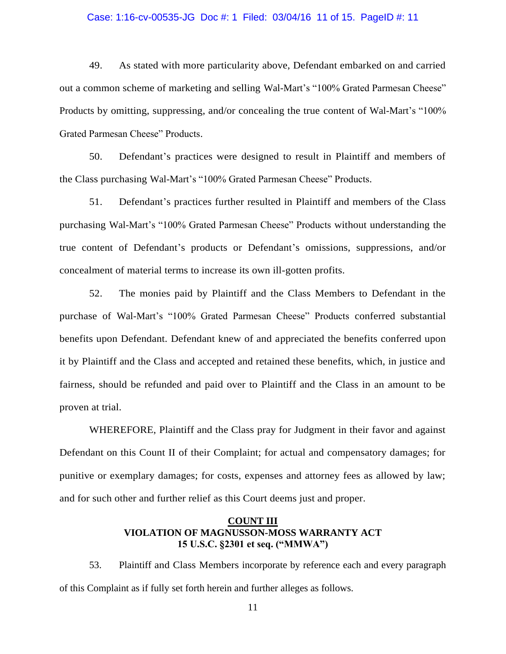### Case: 1:16-cv-00535-JG Doc #: 1 Filed: 03/04/16 11 of 15. PageID #: 11

49. As stated with more particularity above, Defendant embarked on and carried out a common scheme of marketing and selling Wal-Mart's "100% Grated Parmesan Cheese" Products by omitting, suppressing, and/or concealing the true content of Wal-Mart's "100% Grated Parmesan Cheese" Products.

50. Defendant's practices were designed to result in Plaintiff and members of the Class purchasing Wal-Mart's "100% Grated Parmesan Cheese" Products.

51. Defendant's practices further resulted in Plaintiff and members of the Class purchasing Wal-Mart's "100% Grated Parmesan Cheese" Products without understanding the true content of Defendant's products or Defendant's omissions, suppressions, and/or concealment of material terms to increase its own ill-gotten profits.

52. The monies paid by Plaintiff and the Class Members to Defendant in the purchase of Wal-Mart's "100% Grated Parmesan Cheese" Products conferred substantial benefits upon Defendant. Defendant knew of and appreciated the benefits conferred upon it by Plaintiff and the Class and accepted and retained these benefits, which, in justice and fairness, should be refunded and paid over to Plaintiff and the Class in an amount to be proven at trial.

WHEREFORE, Plaintiff and the Class pray for Judgment in their favor and against Defendant on this Count II of their Complaint; for actual and compensatory damages; for punitive or exemplary damages; for costs, expenses and attorney fees as allowed by law; and for such other and further relief as this Court deems just and proper.

# **COUNT III VIOLATION OF MAGNUSSON-MOSS WARRANTY ACT 15 U.S.C. §2301 et seq. ("MMWA")**

53. Plaintiff and Class Members incorporate by reference each and every paragraph of this Complaint as if fully set forth herein and further alleges as follows.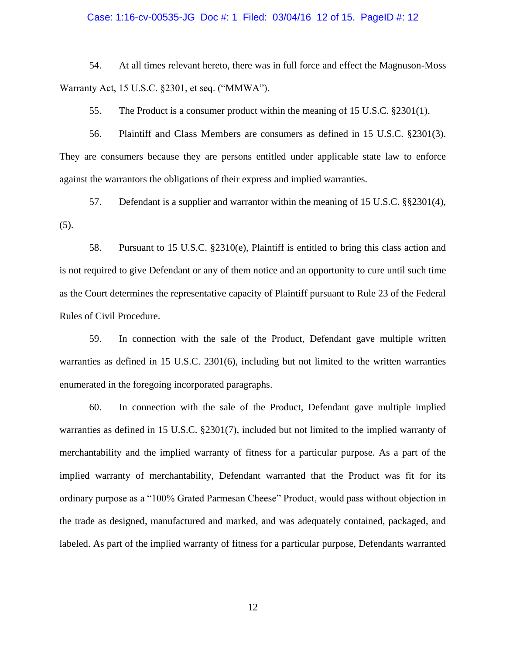### Case: 1:16-cv-00535-JG Doc #: 1 Filed: 03/04/16 12 of 15. PageID #: 12

54. At all times relevant hereto, there was in full force and effect the Magnuson-Moss Warranty Act, 15 U.S.C. §2301, et seq. ("MMWA").

55. The Product is a consumer product within the meaning of 15 U.S.C. §2301(1).

56. Plaintiff and Class Members are consumers as defined in 15 U.S.C. §2301(3). They are consumers because they are persons entitled under applicable state law to enforce against the warrantors the obligations of their express and implied warranties.

57. Defendant is a supplier and warrantor within the meaning of 15 U.S.C. §§2301(4),  $(5).$ 

58. Pursuant to 15 U.S.C. §2310(e), Plaintiff is entitled to bring this class action and is not required to give Defendant or any of them notice and an opportunity to cure until such time as the Court determines the representative capacity of Plaintiff pursuant to Rule 23 of the Federal Rules of Civil Procedure.

59. In connection with the sale of the Product, Defendant gave multiple written warranties as defined in 15 U.S.C. 2301(6), including but not limited to the written warranties enumerated in the foregoing incorporated paragraphs.

60. In connection with the sale of the Product, Defendant gave multiple implied warranties as defined in 15 U.S.C. §2301(7), included but not limited to the implied warranty of merchantability and the implied warranty of fitness for a particular purpose. As a part of the implied warranty of merchantability, Defendant warranted that the Product was fit for its ordinary purpose as a "100% Grated Parmesan Cheese" Product, would pass without objection in the trade as designed, manufactured and marked, and was adequately contained, packaged, and labeled. As part of the implied warranty of fitness for a particular purpose, Defendants warranted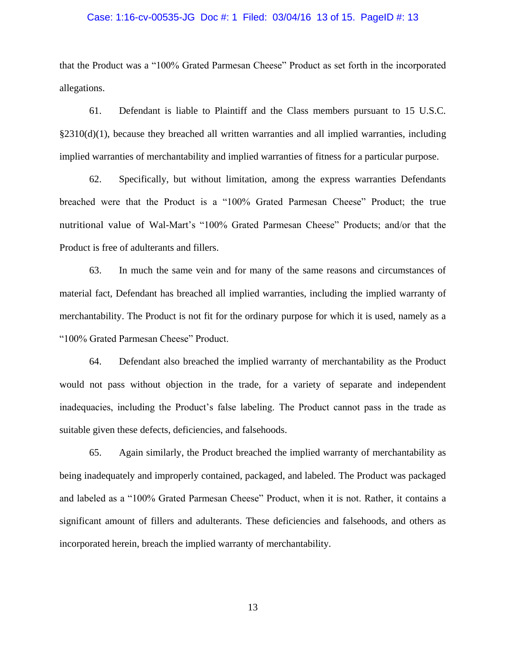### Case: 1:16-cv-00535-JG Doc #: 1 Filed: 03/04/16 13 of 15. PageID #: 13

that the Product was a "100% Grated Parmesan Cheese" Product as set forth in the incorporated allegations.

61. Defendant is liable to Plaintiff and the Class members pursuant to 15 U.S.C.  $\S2310(d)(1)$ , because they breached all written warranties and all implied warranties, including implied warranties of merchantability and implied warranties of fitness for a particular purpose.

62. Specifically, but without limitation, among the express warranties Defendants breached were that the Product is a "100% Grated Parmesan Cheese" Product; the true nutritional value of Wal-Mart's "100% Grated Parmesan Cheese" Products; and/or that the Product is free of adulterants and fillers.

63. In much the same vein and for many of the same reasons and circumstances of material fact, Defendant has breached all implied warranties, including the implied warranty of merchantability. The Product is not fit for the ordinary purpose for which it is used, namely as a "100% Grated Parmesan Cheese" Product.

64. Defendant also breached the implied warranty of merchantability as the Product would not pass without objection in the trade, for a variety of separate and independent inadequacies, including the Product's false labeling. The Product cannot pass in the trade as suitable given these defects, deficiencies, and falsehoods.

65. Again similarly, the Product breached the implied warranty of merchantability as being inadequately and improperly contained, packaged, and labeled. The Product was packaged and labeled as a "100% Grated Parmesan Cheese" Product, when it is not. Rather, it contains a significant amount of fillers and adulterants. These deficiencies and falsehoods, and others as incorporated herein, breach the implied warranty of merchantability.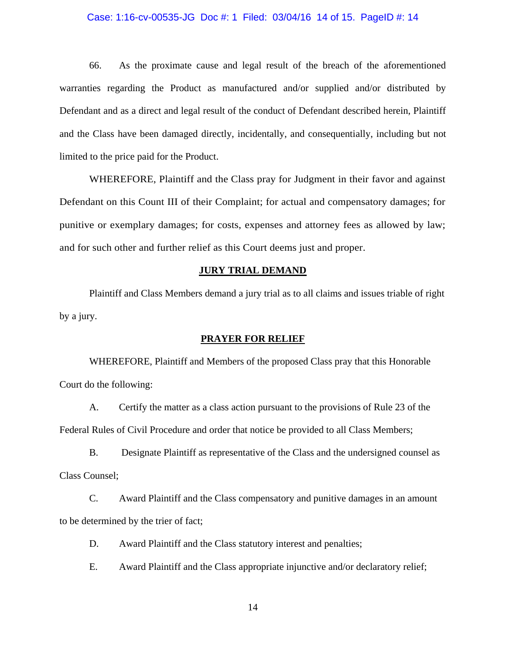### Case: 1:16-cv-00535-JG Doc #: 1 Filed: 03/04/16 14 of 15. PageID #: 14

66. As the proximate cause and legal result of the breach of the aforementioned warranties regarding the Product as manufactured and/or supplied and/or distributed by Defendant and as a direct and legal result of the conduct of Defendant described herein, Plaintiff and the Class have been damaged directly, incidentally, and consequentially, including but not limited to the price paid for the Product.

WHEREFORE, Plaintiff and the Class pray for Judgment in their favor and against Defendant on this Count III of their Complaint; for actual and compensatory damages; for punitive or exemplary damages; for costs, expenses and attorney fees as allowed by law; and for such other and further relief as this Court deems just and proper.

#### **JURY TRIAL DEMAND**

Plaintiff and Class Members demand a jury trial as to all claims and issues triable of right by a jury.

#### **PRAYER FOR RELIEF**

WHEREFORE, Plaintiff and Members of the proposed Class pray that this Honorable Court do the following:

A. Certify the matter as a class action pursuant to the provisions of Rule 23 of the Federal Rules of Civil Procedure and order that notice be provided to all Class Members;

B. Designate Plaintiff as representative of the Class and the undersigned counsel as Class Counsel;

C. Award Plaintiff and the Class compensatory and punitive damages in an amount to be determined by the trier of fact;

D. Award Plaintiff and the Class statutory interest and penalties;

E. Award Plaintiff and the Class appropriate injunctive and/or declaratory relief;